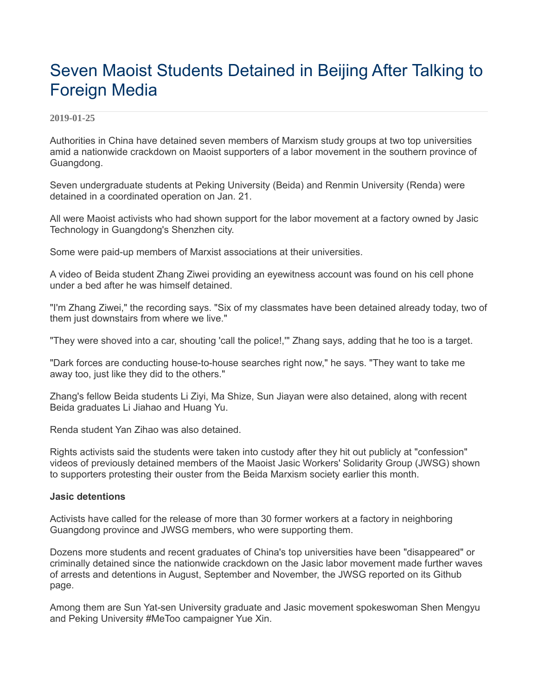# Seven Maoist Students Detained in Beijing After Talking to Foreign Media

#### **2019-01-25**

Authorities in China have detained seven members of Marxism study groups at two top universities amid a nationwide crackdown on Maoist supporters of a labor movement in the southern province of Guangdong.

Seven undergraduate students at Peking University (Beida) and Renmin University (Renda) were detained in a coordinated operation on Jan. 21.

All were Maoist activists who had shown support for the labor movement at a factory owned by Jasic Technology in Guangdong's Shenzhen city.

Some were paid-up members of Marxist associations at their universities.

A video of Beida student Zhang Ziwei providing an eyewitness account was found on his cell phone under a bed after he was himself detained.

"I'm Zhang Ziwei," the recording says. "Six of my classmates have been detained already today, two of them just downstairs from where we live."

"They were shoved into a car, shouting 'call the police!,'" Zhang says, adding that he too is a target.

"Dark forces are conducting house-to-house searches right now," he says. "They want to take me away too, just like they did to the others."

Zhang's fellow Beida students Li Ziyi, Ma Shize, Sun Jiayan were also detained, along with recent Beida graduates Li Jiahao and Huang Yu.

Renda student Yan Zihao was also detained.

Rights activists said the students were taken into custody after they hit out publicly at "confession" videos of previously detained members of the Maoist Jasic Workers' Solidarity Group (JWSG) shown to supporters protesting their ouster from the Beida Marxism society earlier this month.

#### **Jasic detentions**

Activists have called for the release of more than 30 former workers at a factory in neighboring Guangdong province and JWSG members, who were supporting them.

Dozens more students and recent graduates of China's top universities have been "disappeared" or criminally detained since the nationwide crackdown on the Jasic labor movement made further waves of arrests and detentions in August, September and November, the JWSG reported on its Github page.

Among them are Sun Yat-sen University graduate and Jasic movement spokeswoman Shen Mengyu and Peking University #MeToo campaigner Yue Xin.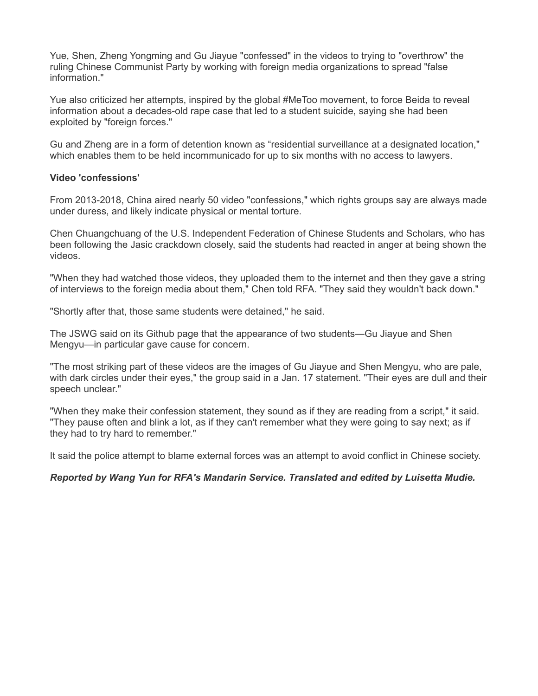Yue, Shen, Zheng Yongming and Gu Jiayue "confessed" in the videos to trying to "overthrow" the ruling Chinese Communist Party by working with foreign media organizations to spread "false information."

Yue also criticized her attempts, inspired by the global #MeToo movement, to force Beida to reveal information about a decades-old rape case that led to a student suicide, saying she had been exploited by "foreign forces."

Gu and Zheng are in a form of detention known as "residential surveillance at a designated location," which enables them to be held incommunicado for up to six months with no access to lawyers.

### **Video 'confessions'**

From 2013-2018, China aired nearly 50 video "confessions," which rights groups say are always made under duress, and likely indicate physical or mental torture.

Chen Chuangchuang of the U.S. Independent Federation of Chinese Students and Scholars, who has been following the Jasic crackdown closely, said the students had reacted in anger at being shown the videos.

"When they had watched those videos, they uploaded them to the internet and then they gave a string of interviews to the foreign media about them," Chen told RFA. "They said they wouldn't back down."

"Shortly after that, those same students were detained," he said.

The JSWG said on its Github page that the appearance of two students—Gu Jiayue and Shen Mengyu—in particular gave cause for concern.

"The most striking part of these videos are the images of Gu Jiayue and Shen Mengyu, who are pale, with dark circles under their eyes," the group said in a Jan. 17 statement. "Their eyes are dull and their speech unclear."

"When they make their confession statement, they sound as if they are reading from a script," it said. "They pause often and blink a lot, as if they can't remember what they were going to say next; as if they had to try hard to remember."

It said the police attempt to blame external forces was an attempt to avoid conflict in Chinese society.

## *Reported by Wang Yun for RFA's Mandarin Service. Translated and edited by Luisetta Mudie.*